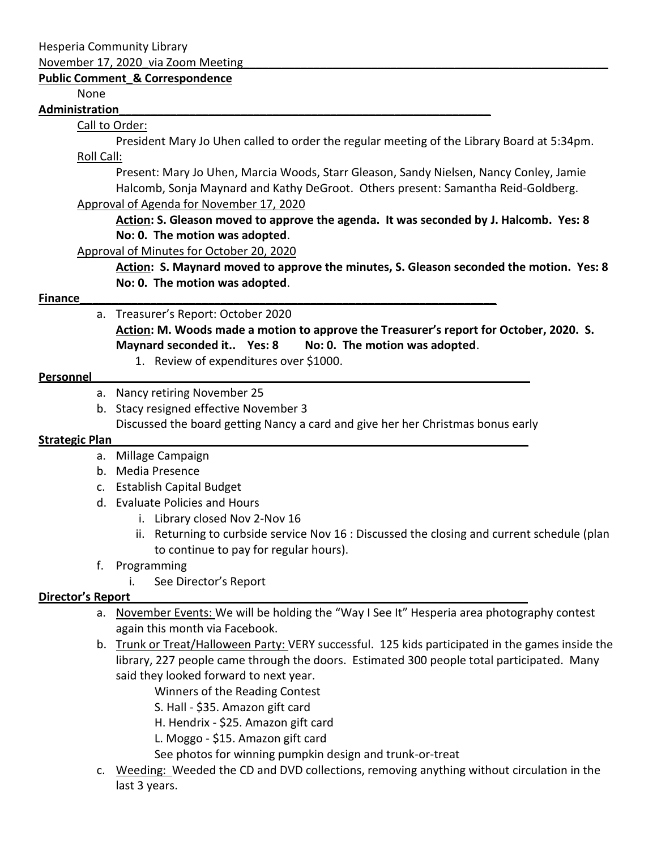Hesperia Community Library

November 17, 2020 via Zoom Meeting

# **Public Comment\_& Correspondence**

None

#### **Administration\_\_\_\_\_\_\_\_\_\_\_\_\_\_\_\_\_\_\_\_\_\_\_\_\_\_\_\_\_\_\_\_\_\_\_\_\_\_\_\_\_\_\_\_\_\_\_\_\_\_\_\_\_\_\_\_\_\_**

### Call to Order:

President Mary Jo Uhen called to order the regular meeting of the Library Board at 5:34pm. Roll Call:

Present: Mary Jo Uhen, Marcia Woods, Starr Gleason, Sandy Nielsen, Nancy Conley, Jamie Halcomb, Sonja Maynard and Kathy DeGroot. Others present: Samantha Reid-Goldberg.

#### Approval of Agenda for November 17, 2020

**Action: S. Gleason moved to approve the agenda. It was seconded by J. Halcomb. Yes: 8 No: 0. The motion was adopted**.

Approval of Minutes for October 20, 2020

**Action: S. Maynard moved to approve the minutes, S. Gleason seconded the motion. Yes: 8 No: 0. The motion was adopted**.

# **Finance\_\_\_\_\_\_\_\_\_\_\_\_\_\_\_\_\_\_\_\_\_\_\_\_\_\_\_\_\_\_\_\_\_\_\_\_\_\_\_\_\_\_\_\_\_\_\_\_\_\_\_\_\_\_\_\_\_\_\_\_\_\_\_\_\_**

a. Treasurer's Report: October 2020

**Action: M. Woods made a motion to approve the Treasurer's report for October, 2020. S. Maynard seconded it.. Yes: 8 No: 0. The motion was adopted**.

1. Review of expenditures over \$1000.

### **Personnel**

- a. Nancy retiring November 25
- b. Stacy resigned effective November 3 Discussed the board getting Nancy a card and give her her Christmas bonus early

### **Strategic Plan\_\_\_\_\_\_\_\_\_\_\_\_\_\_\_\_\_\_\_\_\_\_\_\_\_\_\_\_\_\_\_\_\_\_\_\_\_\_\_\_\_\_\_\_\_\_\_\_\_\_\_\_\_\_\_\_\_\_\_\_\_\_\_\_\_**

- a. Millage Campaign
- b. Media Presence
- c. Establish Capital Budget
- d. Evaluate Policies and Hours
	- i. Library closed Nov 2-Nov 16
	- ii. Returning to curbside service Nov 16 : Discussed the closing and current schedule (plan to continue to pay for regular hours).
- f. Programming
	- i. See Director's Report

# **Director's Report\_\_\_\_\_\_\_\_\_\_\_\_\_\_\_\_\_\_\_\_\_\_\_\_\_\_\_\_\_\_\_\_\_\_\_\_\_\_\_\_\_\_\_\_\_\_\_\_\_\_\_\_\_\_\_\_\_\_\_\_\_\_**

- a. November Events: We will be holding the "Way I See It" Hesperia area photography contest again this month via Facebook.
- b. Trunk or Treat/Halloween Party: VERY successful. 125 kids participated in the games inside the library, 227 people came through the doors. Estimated 300 people total participated. Many said they looked forward to next year.

Winners of the Reading Contest

S. Hall - \$35. Amazon gift card

H. Hendrix - \$25. Amazon gift card

L. Moggo - \$15. Amazon gift card

See photos for winning pumpkin design and trunk-or-treat

c. Weeding: Weeded the CD and DVD collections, removing anything without circulation in the last 3 years.